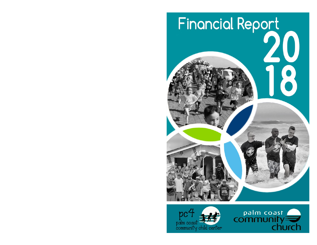